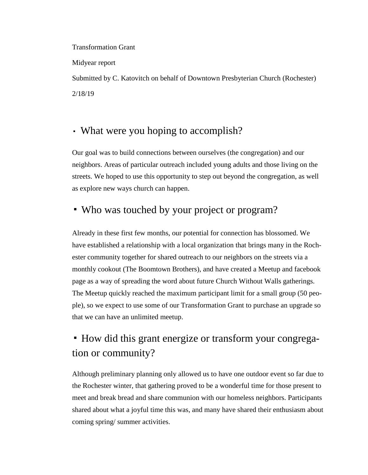#### Transformation Grant

Midyear report

Submitted by C. Katovitch on behalf of Downtown Presbyterian Church (Rochester) 2/18/19

#### ▪ What were you hoping to accomplish?

Our goal was to build connections between ourselves (the congregation) and our neighbors. Areas of particular outreach included young adults and those living on the streets. We hoped to use this opportunity to step out beyond the congregation, as well as explore new ways church can happen.

#### ▪ Who was touched by your project or program?

Already in these first few months, our potential for connection has blossomed. We have established a relationship with a local organization that brings many in the Rochester community together for shared outreach to our neighbors on the streets via a monthly cookout (The Boomtown Brothers), and have created a Meetup and facebook page as a way of spreading the word about future Church Without Walls gatherings. The Meetup quickly reached the maximum participant limit for a small group (50 people), so we expect to use some of our Transformation Grant to purchase an upgrade so that we can have an unlimited meetup.

# ▪ How did this grant energize or transform your congregation or community?

Although preliminary planning only allowed us to have one outdoor event so far due to the Rochester winter, that gathering proved to be a wonderful time for those present to meet and break bread and share communion with our homeless neighbors. Participants shared about what a joyful time this was, and many have shared their enthusiasm about coming spring/ summer activities.